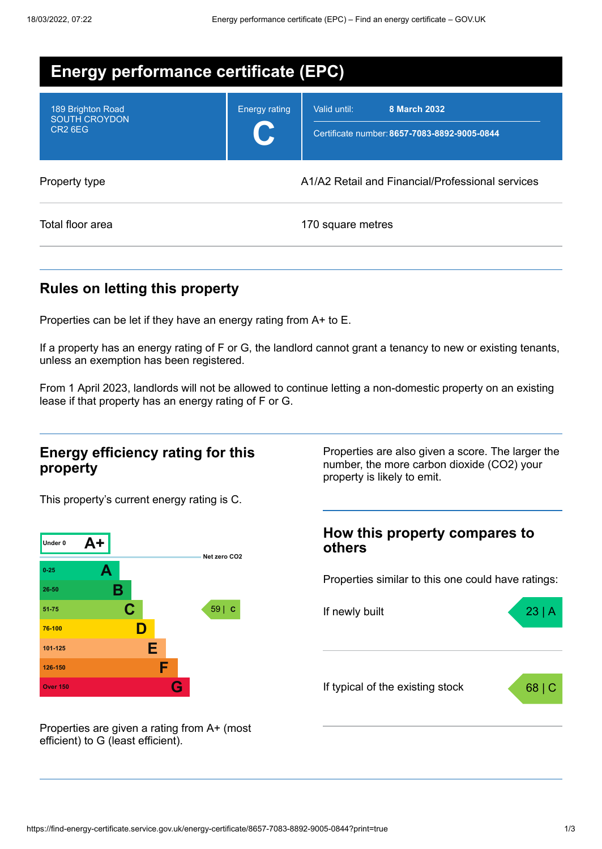| Energy performance certificate (EPC)                             |                      |                                                                              |  |
|------------------------------------------------------------------|----------------------|------------------------------------------------------------------------------|--|
| 189 Brighton Road<br><b>SOUTH CROYDON</b><br>CR <sub>2</sub> 6EG | <b>Energy rating</b> | Valid until:<br>8 March 2032<br>Certificate number: 8657-7083-8892-9005-0844 |  |
| Property type                                                    |                      | A1/A2 Retail and Financial/Professional services                             |  |
| Total floor area                                                 |                      | 170 square metres                                                            |  |

## **Rules on letting this property**

Properties can be let if they have an energy rating from A+ to E.

If a property has an energy rating of F or G, the landlord cannot grant a tenancy to new or existing tenants, unless an exemption has been registered.

From 1 April 2023, landlords will not be allowed to continue letting a non-domestic property on an existing lease if that property has an energy rating of F or G.

### **Energy efficiency rating for this property**

Properties are also given a score. The larger the number, the more carbon dioxide (CO2) your property is likely to emit.

This property's current energy rating is C.



**How this property compares to others**

Properties similar to this one could have ratings:



Properties are given a rating from A+ (most efficient) to G (least efficient).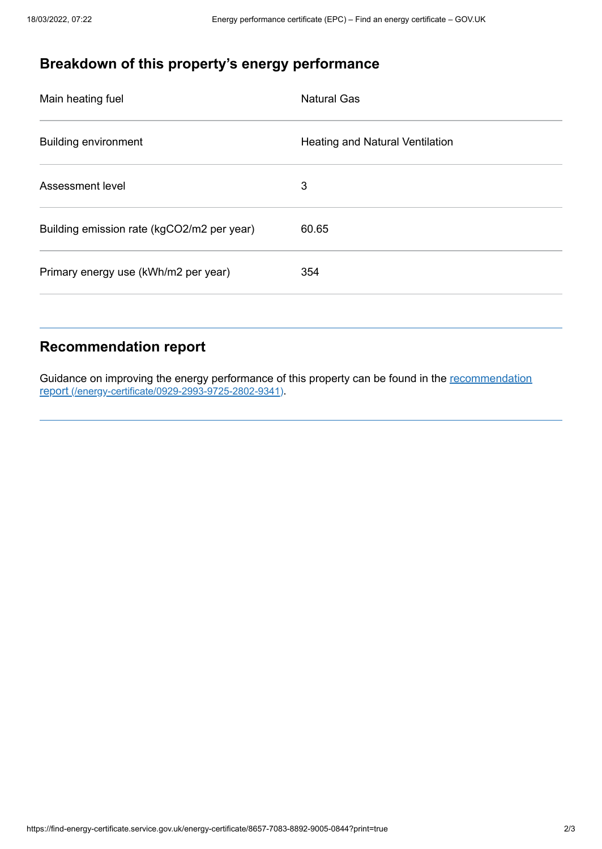# **Breakdown of this property's energy performance**

| Main heating fuel                          | <b>Natural Gas</b>                     |
|--------------------------------------------|----------------------------------------|
| <b>Building environment</b>                | <b>Heating and Natural Ventilation</b> |
| Assessment level                           | 3                                      |
| Building emission rate (kgCO2/m2 per year) | 60.65                                  |
| Primary energy use (kWh/m2 per year)       | 354                                    |

## **Recommendation report**

Guidance on improving the energy performance of this property can be found in the recommendation report [\(/energy-certificate/0929-2993-9725-2802-9341\)](https://find-energy-certificate.service.gov.uk/energy-certificate/0929-2993-9725-2802-9341).